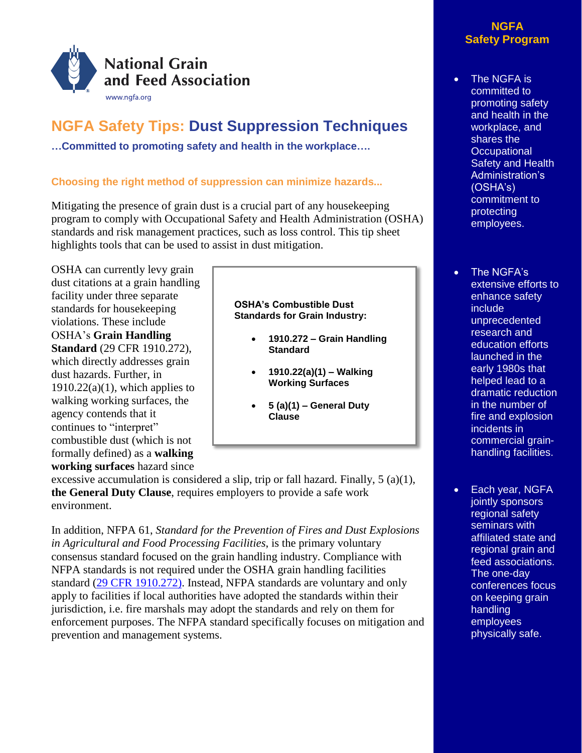

# **NGFA Safety Tips: Dust Suppression Techniques**

**…Committed to promoting safety and health in the workplace….**

## **Choosing the right method of suppression can minimize hazards...**

Mitigating the presence of grain dust is a crucial part of any housekeeping program to comply with Occupational Safety and Health Administration (OSHA) standards and risk management practices, such as loss control. This tip sheet highlights tools that can be used to assist in dust mitigation.

OSHA can currently levy grain dust citations at a grain handling facility under three separate standards for housekeeping violations. These include OSHA's **Grain Handling Standard** (29 CFR 1910.272), which directly addresses grain dust hazards. Further, in  $1910.22(a)(1)$ , which applies to walking working surfaces, the agency contends that it continues to "interpret" combustible dust (which is not formally defined) as a **walking working surfaces** hazard since

### **OSHA's Combustible Dust Standards for Grain Industry:**

- **1910.272 – Grain Handling Standard**
- **1910.22(a)(1) – Walking Working Surfaces**
- **5 (a)(1) – General Duty Clause**

excessive accumulation is considered a slip, trip or fall hazard. Finally,  $5 \text{ (a)(1)}$ , **the General Duty Clause**, requires employers to provide a safe work environment.

In addition, NFPA 61, *Standard for the Prevention of Fires and Dust Explosions in Agricultural and Food Processing Facilities*, is the primary voluntary consensus standard focused on the grain handling industry. Compliance with NFPA standards is not required under the OSHA grain handling facilities standard [\(29 CFR 1910.272\)](http://www.osha.gov/pls/oshaweb/owadisp.show_document?p_table=STANDARDS&p_id=9874). Instead, NFPA standards are voluntary and only apply to facilities if local authorities have adopted the standards within their jurisdiction, i.e. fire marshals may adopt the standards and rely on them for enforcement purposes. The NFPA standard specifically focuses on mitigation and prevention and management systems.

## **NGFA Safety Program**

- The NGFA is committed to promoting safety and health in the workplace, and shares the **Occupational** Safety and Health Administration's (OSHA's) commitment to protecting employees.
- The NGFA's extensive efforts to enhance safety include unprecedented research and education efforts launched in the early 1980s that helped lead to a dramatic reduction in the number of fire and explosion incidents in commercial grainhandling facilities.
- Each year, NGFA jointly sponsors regional safety seminars with affiliated state and regional grain and feed associations. The one-day conferences focus on keeping grain handling employees physically safe.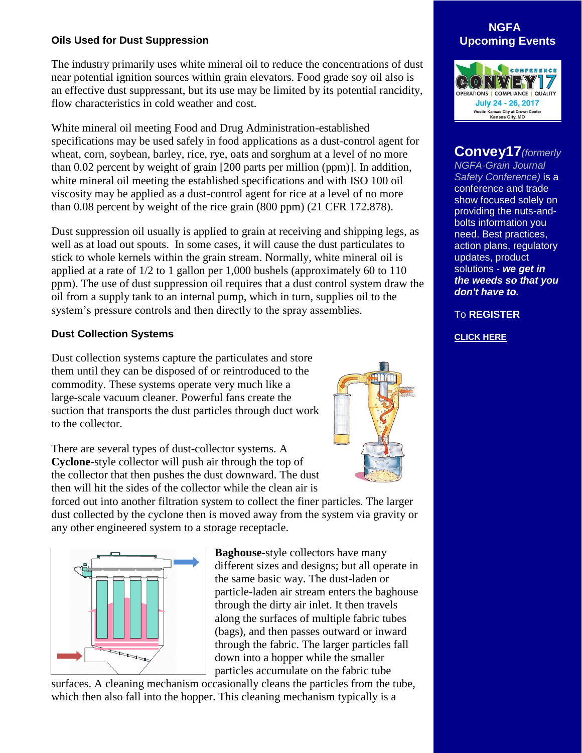## **Oils Used for Dust Suppression**

The industry primarily uses white mineral oil to reduce the concentrations of dust near potential ignition sources within grain elevators. Food grade soy oil also is an effective dust suppressant, but its use may be limited by its potential rancidity, flow characteristics in cold weather and cost.

White mineral oil meeting Food and Drug Administration-established specifications may be used safely in food applications as a dust-control agent for wheat, corn, soybean, barley, rice, rye, oats and sorghum at a level of no more than 0.02 percent by weight of grain [200 parts per million (ppm)]. In addition, white mineral oil meeting the established specifications and with ISO 100 oil viscosity may be applied as a dust-control agent for rice at a level of no more than 0.08 percent by weight of the rice grain (800 ppm) (21 CFR 172.878).

Dust suppression oil usually is applied to grain at receiving and shipping legs, as well as at load out spouts. In some cases, it will cause the dust particulates to stick to whole kernels within the grain stream. Normally, white mineral oil is applied at a rate of 1/2 to 1 gallon per 1,000 bushels (approximately 60 to 110 ppm). The use of dust suppression oil requires that a dust control system draw the oil from a supply tank to an internal pump, which in turn, supplies oil to the system's pressure controls and then directly to the spray assemblies.

### **Dust Collection Systems**

Dust collection systems capture the particulates and store them until they can be disposed of or reintroduced to the commodity. These systems operate very much like a large-scale vacuum cleaner. Powerful fans create the suction that transports the dust particles through duct work to the collector.

There are several types of dust-collector systems. A **Cyclone**-style collector will push air through the top of the collector that then pushes the dust downward. The dust then will hit the sides of the collector while the clean air is

forced out into another filtration system to collect the finer particles. The larger dust collected by the cyclone then is moved away from the system via gravity or any other engineered system to a storage receptacle.



**Baghouse**-style collectors have many different sizes and designs; but all operate in the same basic way. The dust-laden or particle-laden air stream enters the baghouse through the dirty air inlet. It then travels along the surfaces of multiple fabric tubes (bags), and then passes outward or inward through the fabric. The larger particles fall down into a hopper while the smaller particles accumulate on the fabric tube

surfaces. A cleaning mechanism occasionally cleans the particles from the tube, which then also fall into the hopper. This cleaning mechanism typically is a





## **Convey17***(formerly*

*NGFA-Grain Journal Safety Conference)* is a conference and trade show focused solely on providing the nuts-andbolts information you need. Best practices, action plans, regulatory updates, product solutions - *we get in the weeds so that you don't have to.*

To **REGISTER**

**[CLICK HERE](http://www.convey17.com/)**